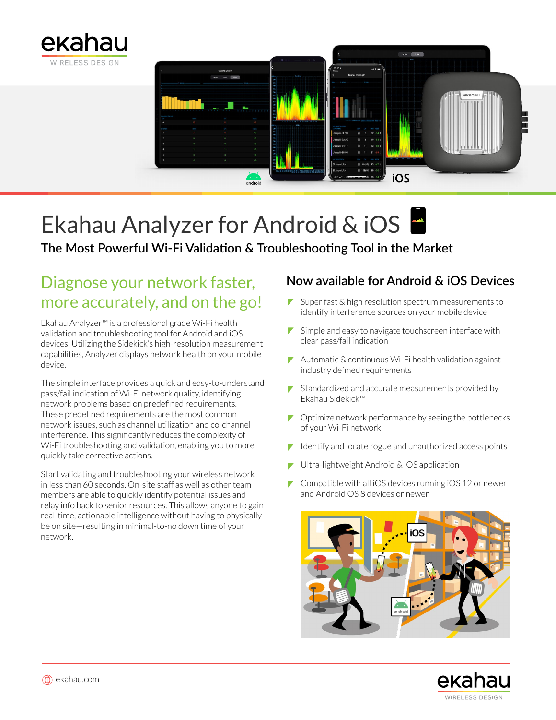



# Ekahau Analyzer for Android & iOS

# **The Most Powerful Wi-Fi Validation & Troubleshooting Tool in the Market**

# Diagnose your network faster, more accurately, and on the go!

Ekahau Analyzer™ is a professional grade Wi-Fi health validation and troubleshooting tool for Android and iOS devices. Utilizing the Sidekick's high-resolution measurement capabilities, Analyzer displays network health on your mobile device.

The simple interface provides a quick and easy-to-understand pass/fail indication of Wi-Fi network quality, identifying network problems based on predefined requirements. These predefined requirements are the most common network issues, such as channel utilization and co-channel interference. This significantly reduces the complexity of Wi-Fi troubleshooting and validation, enabling you to more quickly take corrective actions.

Start validating and troubleshooting your wireless network in less than 60 seconds. On-site staff as well as other team members are able to quickly identify potential issues and relay info back to senior resources. This allows anyone to gain real-time, actionable intelligence without having to physically be on site—resulting in minimal-to-no down time of your network.

# **Now available for Android & iOS Devices**

- Super fast  $\&$  high resolution spectrum measurements to identify interference sources on your mobile device
- $\blacktriangleright$  Simple and easy to navigate touchscreen interface with clear pass/fail indication
- $\blacktriangleright$  Automatic & continuous Wi-Fi health validation against industry defined requirements
- $\blacktriangleright$  Standardized and accurate measurements provided by Ekahau Sidekick™
- $\blacktriangleright$  Optimize network performance by seeing the bottlenecks of your Wi-Fi network
- Identify and locate rogue and unauthorized access points
- Ultra-lightweight Android & iOS application
- $\triangleright$  Compatible with all iOS devices running iOS 12 or newer and Android OS 8 devices or newer